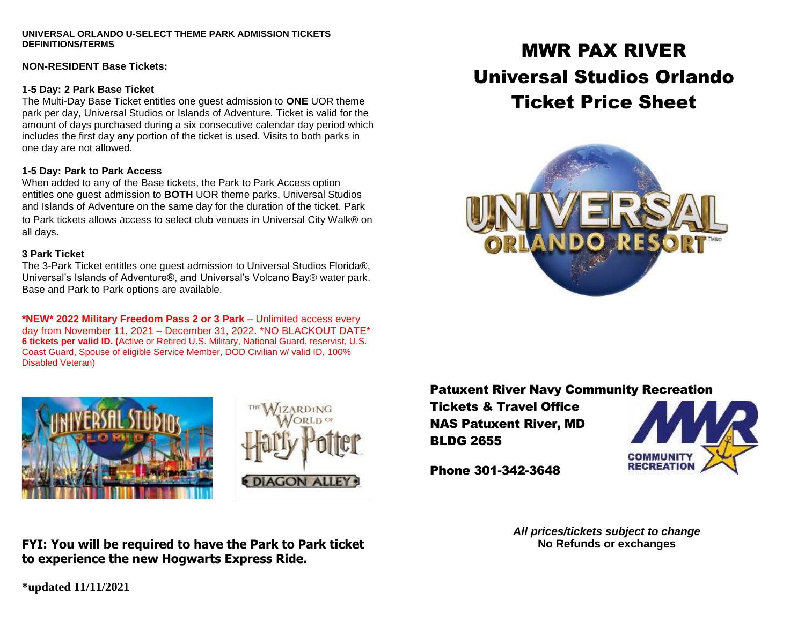#### **UNIVERSAL ORLANDO U-SELECT THEME PARK ADMISSION TICKETS DEFINITIONS/TERMS**

#### **NON-RESIDENT Base Tickets:**

### **1-5 Day: 2 Park Base Ticket**

The Multi-Day Base Ticket entitles one guest admission to **ONE** UOR theme park per day, Universal Studios or Islands of Adventure. Ticket is valid for the amount of days purchased during a six consecutive calendar day period which includes the first day any portion of the ticket is used. Visits to both parks in one day are not allowed.

## **1-5 Day: Park to Park Access**

When added to any of the Base tickets, the Park to Park Access option entitles one guest admission to **BOTH** UOR theme parks, Universal Studios and Islands of Adventure on the same day for the duration of the ticket. Park to Park tickets allows access to select club venues in Universal City Walk® on all days.

## **3 Park Ticket**

The 3-Park Ticket entitles one guest admission to Universal Studios Florida®, Universal's Islands of Adventure®, and Universal's Volcano Bay® water park. Base and Park to Park options are available.

**\*NEW\* 2022 Military Freedom Pass 2 or 3 Park** – Unlimited access every day from November 11, 2021 – December 31, 2022. \*NO BLACKOUT DATE\* **6 tickets per valid ID. (**Active or Retired U.S. Military, National Guard, reservist, U.S. Coast Guard, Spouse of eligible Service Member, DOD Civilian w/ valid ID, 100% Disabled Veteran)





# MWR PAX RIVER Universal Studios Orlando Ticket Price Sheet



## Patuxent River Navy Community Recreation

Tickets & Travel Office NAS Patuxent River, MD BLDG 2655



Phone 301-342-3648

*All prices/tickets subject to change* **No Refunds or exchanges**

**FYI: You will be required to have the Park to Park ticket to experience the new Hogwarts Express Ride.**

**\*updated 11/11/2021**